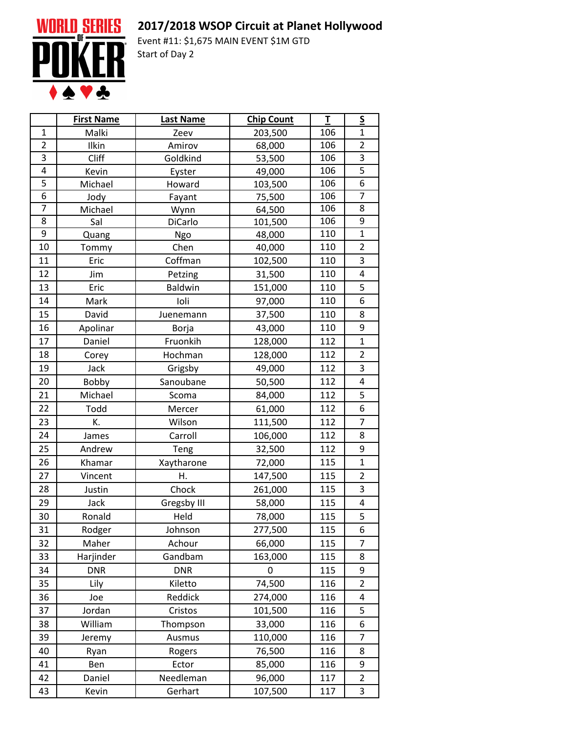## **2017/2018 WSOP Circuit at Planet Hollywood**



Event #11: \$1,675 MAIN EVENT \$1M GTD Start of Day 2

|                         | <b>First Name</b> | Last Name      | <b>Chip Count</b> | T   | $\underline{\mathsf{S}}$ |
|-------------------------|-------------------|----------------|-------------------|-----|--------------------------|
| $\mathbf{1}$            | Malki             | Zeev           | 203,500           | 106 | $\mathbf{1}$             |
| $\overline{2}$          | Ilkin             | Amirov         | 68,000            | 106 | $\overline{2}$           |
| 3                       | Cliff             | Goldkind       | 53,500            | 106 | 3                        |
| $\overline{\mathbf{4}}$ | Kevin             | Eyster         | 49,000            | 106 | 5                        |
| $\overline{5}$          | Michael           | Howard         | 103,500           | 106 | $\overline{6}$           |
| $\overline{6}$          | Jody              | Fayant         | 75,500            | 106 | $\overline{7}$           |
| 7                       | Michael           | Wynn           | 64,500            | 106 | 8                        |
| 8                       | Sal               | DiCarlo        | 101,500           | 106 | 9                        |
| 9                       | Quang             | Ngo            | 48,000            | 110 | $\mathbf{1}$             |
| 10                      | Tommy             | Chen           | 40,000            | 110 | $\overline{2}$           |
| 11                      | Eric              | Coffman        | 102,500           | 110 | 3                        |
| 12                      | Jim               | Petzing        | 31,500            | 110 | 4                        |
| 13                      | Eric              | <b>Baldwin</b> | 151,000           | 110 | 5                        |
| 14                      | Mark              | Ioli           | 97,000            | 110 | 6                        |
| 15                      | David             | Juenemann      | 37,500            | 110 | 8                        |
| 16                      | Apolinar          | Borja          | 43,000            | 110 | 9                        |
| 17                      | Daniel            | Fruonkih       | 128,000           | 112 | $\mathbf{1}$             |
| 18                      | Corey             | Hochman        | 128,000           | 112 | $\overline{2}$           |
| 19                      | Jack              | Grigsby        | 49,000            | 112 | 3                        |
| 20                      | Bobby             | Sanoubane      | 50,500            | 112 | 4                        |
| 21                      | Michael           | Scoma          | 84,000            | 112 | 5                        |
| 22                      | Todd              | Mercer         | 61,000            | 112 | 6                        |
| 23                      | K.                | Wilson         | 111,500           | 112 | $\overline{7}$           |
| 24                      | James             | Carroll        | 106,000           | 112 | 8                        |
| 25                      | Andrew            | Teng           | 32,500            | 112 | 9                        |
| 26                      | Khamar            | Xaytharone     | 72,000            | 115 | $\mathbf{1}$             |
| 27                      | Vincent           | Η.             | 147,500           | 115 | $\overline{2}$           |
| 28                      | Justin            | Chock          | 261,000           | 115 | 3                        |
| 29                      | Jack              | Gregsby III    | 58,000            | 115 | 4                        |
| 30                      | Ronald            | Held           | 78,000            | 115 | 5                        |
| 31                      | Rodger            | Johnson        | 277,500           | 115 | 6                        |
| 32                      | Maher             | Achour         | 66,000            | 115 | $\overline{7}$           |
| 33                      | Harjinder         | Gandbam        | 163,000           | 115 | 8                        |
| 34                      | <b>DNR</b>        | <b>DNR</b>     | 0                 | 115 | 9                        |
| 35                      | Lily              | Kiletto        | 74,500            | 116 | $\overline{2}$           |
| 36                      | Joe               | Reddick        | 274,000           | 116 | 4                        |
| 37                      | Jordan            | Cristos        | 101,500           | 116 | 5                        |
| 38                      | William           | Thompson       | 33,000            | 116 | 6                        |
| 39                      | Jeremy            | Ausmus         | 110,000           | 116 | 7                        |
| 40                      | Ryan              | Rogers         | 76,500            | 116 | 8                        |
| 41                      | Ben               | Ector          | 85,000            | 116 | 9                        |
| 42                      | Daniel            | Needleman      | 96,000            | 117 | $\overline{2}$           |
| 43                      | Kevin             | Gerhart        | 107,500           | 117 | 3                        |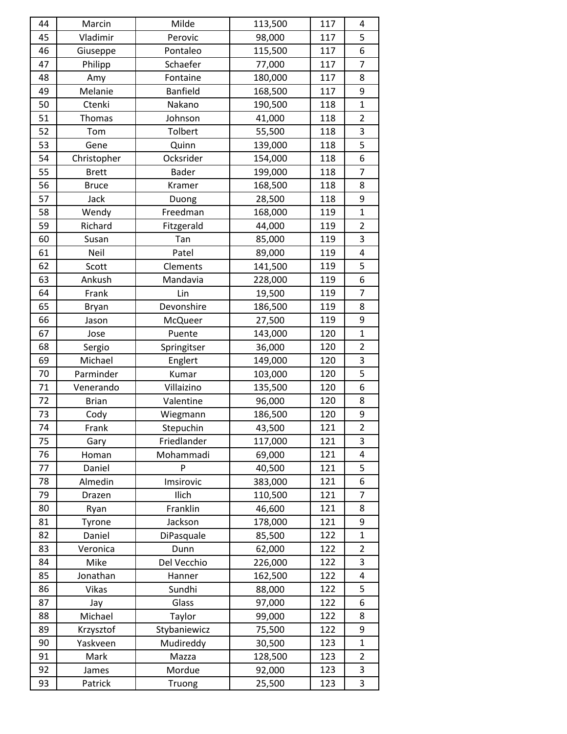| 44 | Marcin       | Milde           | 113,500 | 117 | 4              |
|----|--------------|-----------------|---------|-----|----------------|
| 45 | Vladimir     | Perovic         | 98,000  | 117 | 5              |
| 46 | Giuseppe     | Pontaleo        | 115,500 | 117 | 6              |
| 47 | Philipp      | Schaefer        | 77,000  | 117 | $\overline{7}$ |
| 48 | Amy          | Fontaine        | 180,000 | 117 | 8              |
| 49 | Melanie      | <b>Banfield</b> | 168,500 | 117 | 9              |
| 50 | Ctenki       | Nakano          | 190,500 | 118 | $\mathbf{1}$   |
| 51 | Thomas       | Johnson         | 41,000  | 118 | $\overline{2}$ |
| 52 | Tom          | Tolbert         | 55,500  | 118 | 3              |
| 53 | Gene         | Quinn           | 139,000 | 118 | 5              |
| 54 | Christopher  | Ocksrider       | 154,000 | 118 | 6              |
| 55 | <b>Brett</b> | <b>Bader</b>    | 199,000 | 118 | $\overline{7}$ |
| 56 | <b>Bruce</b> | Kramer          | 168,500 | 118 | 8              |
| 57 | Jack         | Duong           | 28,500  | 118 | 9              |
| 58 | Wendy        | Freedman        | 168,000 | 119 | $\mathbf{1}$   |
| 59 | Richard      | Fitzgerald      | 44,000  | 119 | $\overline{2}$ |
| 60 | Susan        | Tan             | 85,000  | 119 | 3              |
| 61 | Neil         | Patel           | 89,000  | 119 | 4              |
| 62 | Scott        | Clements        | 141,500 | 119 | 5              |
| 63 | Ankush       | Mandavia        | 228,000 | 119 | 6              |
| 64 | Frank        | Lin             | 19,500  | 119 | $\overline{7}$ |
| 65 | <b>Bryan</b> | Devonshire      | 186,500 | 119 | 8              |
| 66 | Jason        | McQueer         | 27,500  | 119 | 9              |
| 67 | Jose         | Puente          | 143,000 | 120 | $\mathbf{1}$   |
| 68 | Sergio       | Springitser     | 36,000  | 120 | $\overline{2}$ |
| 69 | Michael      | Englert         | 149,000 | 120 | 3              |
| 70 | Parminder    | Kumar           | 103,000 | 120 | $\overline{5}$ |
| 71 | Venerando    | Villaizino      | 135,500 | 120 | 6              |
| 72 | <b>Brian</b> | Valentine       | 96,000  | 120 | 8              |
| 73 | Cody         | Wiegmann        | 186,500 | 120 | 9              |
| 74 | Frank        | Stepuchin       | 43,500  | 121 | $\overline{2}$ |
| 75 | Gary         | Friedlander     | 117,000 | 121 | 3              |
| 76 | Homan        | Mohammadi       | 69,000  | 121 | 4              |
| 77 | Daniel       | P               | 40,500  | 121 | 5              |
| 78 | Almedin      | Imsirovic       | 383,000 | 121 | 6              |
| 79 | Drazen       | Ilich           | 110,500 | 121 | $\overline{7}$ |
| 80 | Ryan         | Franklin        | 46,600  | 121 | 8              |
| 81 | Tyrone       | Jackson         | 178,000 | 121 | 9              |
| 82 | Daniel       | DiPasquale      | 85,500  | 122 | $\mathbf{1}$   |
| 83 | Veronica     | Dunn            | 62,000  | 122 | $\overline{2}$ |
| 84 | Mike         | Del Vecchio     | 226,000 | 122 | 3              |
| 85 | Jonathan     | Hanner          | 162,500 | 122 | 4              |
| 86 | Vikas        | Sundhi          | 88,000  | 122 | 5              |
| 87 | Jay          | Glass           | 97,000  | 122 | 6              |
| 88 | Michael      | Taylor          | 99,000  | 122 | 8              |
| 89 | Krzysztof    | Stybaniewicz    | 75,500  | 122 | 9              |
| 90 | Yaskveen     | Mudireddy       | 30,500  | 123 | $\mathbf{1}$   |
| 91 | Mark         | Mazza           | 128,500 | 123 | $\overline{2}$ |
| 92 | James        | Mordue          | 92,000  | 123 | 3              |
| 93 | Patrick      | Truong          | 25,500  | 123 | 3              |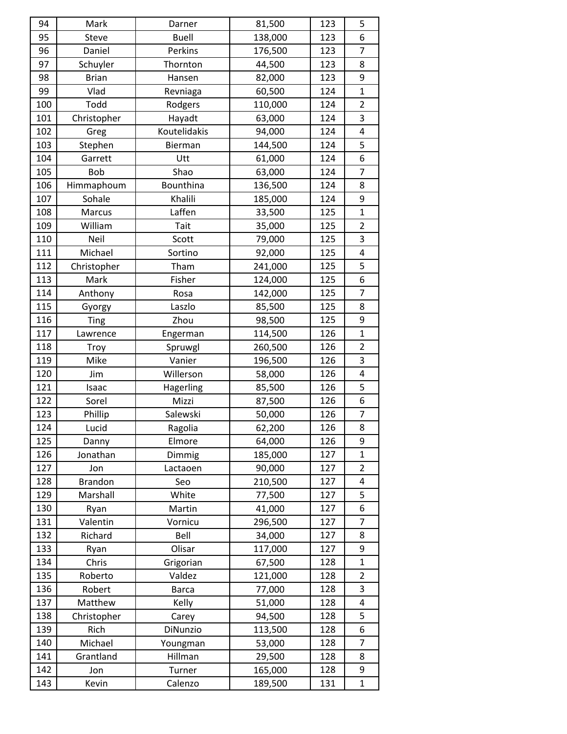| 94  | Mark           | Darner       | 81,500  | 123 | 5              |
|-----|----------------|--------------|---------|-----|----------------|
| 95  | Steve          | <b>Buell</b> | 138,000 | 123 | 6              |
| 96  | Daniel         | Perkins      | 176,500 | 123 | $\overline{7}$ |
| 97  | Schuyler       | Thornton     | 44,500  | 123 | 8              |
| 98  | <b>Brian</b>   | Hansen       | 82,000  | 123 | 9              |
| 99  | Vlad           | Revniaga     | 60,500  | 124 | 1              |
| 100 | Todd           | Rodgers      | 110,000 | 124 | $\overline{2}$ |
| 101 | Christopher    | Hayadt       | 63,000  | 124 | 3              |
| 102 | Greg           | Koutelidakis | 94,000  | 124 | 4              |
| 103 | Stephen        | Bierman      | 144,500 | 124 | 5              |
| 104 | Garrett        | Utt          | 61,000  | 124 | 6              |
| 105 | <b>Bob</b>     | Shao         | 63,000  | 124 | $\overline{7}$ |
| 106 | Himmaphoum     | Bounthina    | 136,500 | 124 | 8              |
| 107 | Sohale         | Khalili      | 185,000 | 124 | 9              |
| 108 | Marcus         | Laffen       | 33,500  | 125 | $\mathbf{1}$   |
| 109 | William        | Tait         | 35,000  | 125 | $\overline{2}$ |
| 110 | Neil           | Scott        | 79,000  | 125 | 3              |
| 111 | Michael        | Sortino      | 92,000  | 125 | 4              |
| 112 | Christopher    | Tham         | 241,000 | 125 | 5              |
| 113 | Mark           | Fisher       | 124,000 | 125 | 6              |
| 114 | Anthony        | Rosa         | 142,000 | 125 | $\overline{7}$ |
| 115 | Gyorgy         | Laszlo       | 85,500  | 125 | 8              |
| 116 | <b>Ting</b>    | Zhou         | 98,500  | 125 | 9              |
| 117 | Lawrence       | Engerman     | 114,500 | 126 | $\mathbf{1}$   |
| 118 | <b>Troy</b>    | Spruwgl      | 260,500 | 126 | $\overline{2}$ |
| 119 | Mike           | Vanier       | 196,500 | 126 | 3              |
| 120 | Jim            | Willerson    | 58,000  | 126 | 4              |
| 121 | Isaac          | Hagerling    | 85,500  | 126 | 5              |
| 122 | Sorel          | Mizzi        | 87,500  | 126 | 6              |
| 123 | Phillip        | Salewski     | 50,000  | 126 | 7              |
| 124 | Lucid          | Ragolia      | 62,200  | 126 | 8              |
| 125 | Danny          | Elmore       | 64,000  | 126 | 9              |
| 126 | Jonathan       | Dimmig       | 185,000 | 127 | $\mathbf{1}$   |
| 127 | Jon            | Lactaoen     | 90,000  | 127 | $\overline{2}$ |
| 128 | <b>Brandon</b> | Seo          | 210,500 | 127 | 4              |
| 129 | Marshall       | White        | 77,500  | 127 | 5              |
| 130 | Ryan           | Martin       | 41,000  | 127 | 6              |
| 131 | Valentin       | Vornicu      | 296,500 | 127 | $\overline{7}$ |
| 132 | Richard        | Bell         | 34,000  | 127 | 8              |
| 133 | Ryan           | Olisar       | 117,000 | 127 | 9              |
| 134 | Chris          | Grigorian    | 67,500  | 128 | $\mathbf{1}$   |
| 135 | Roberto        | Valdez       | 121,000 | 128 | $\overline{2}$ |
| 136 | Robert         | <b>Barca</b> | 77,000  | 128 | 3              |
| 137 | Matthew        | Kelly        | 51,000  | 128 | 4              |
| 138 | Christopher    | Carey        | 94,500  | 128 | 5              |
| 139 | Rich           | DiNunzio     | 113,500 | 128 | 6              |
| 140 | Michael        | Youngman     | 53,000  | 128 | $\overline{7}$ |
| 141 | Grantland      | Hillman      | 29,500  | 128 | 8              |
| 142 | Jon            | Turner       | 165,000 | 128 | 9              |
| 143 | Kevin          | Calenzo      | 189,500 | 131 | $\mathbf{1}$   |